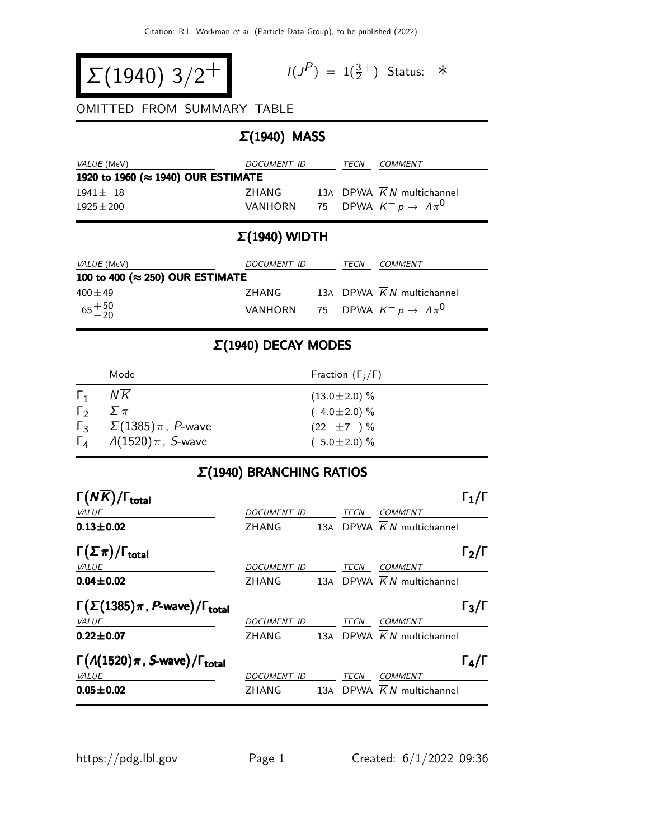$$
\Sigma(1940) 3/2^+
$$

$$
I(J^P) = 1(\frac{3}{2}^+) \quad \text{Status:} \quad *
$$

#### OMITTED FROM SUMMARY TABLE

# Σ(1940) MASS

| <i>VALUE</i> (MeV)                 | DOCUMENT ID |  | TECN | COMMENT                             |  |
|------------------------------------|-------------|--|------|-------------------------------------|--|
| 1920 to 1960 (≈ 1940) OUR ESTIMATE |             |  |      |                                     |  |
| $1941 + 18$                        | 7HANG       |  |      | 13A DPWA K N multichannel           |  |
| $1925 + 200$                       | VANHORN     |  |      | 75 DPWA $K^- p \rightarrow A \pi^0$ |  |

# Σ(1940) WIDTH

| <i>VALUE</i> (MeV)                       | DOCUMENT ID |  | TECN | COMMENT                                           |  |
|------------------------------------------|-------------|--|------|---------------------------------------------------|--|
| 100 to 400 ( $\approx$ 250) OUR ESTIMATE |             |  |      |                                                   |  |
| $400\pm49$                               | 7HANG       |  |      | 13A DPWA K N multichannel                         |  |
| $65 + 50$                                |             |  |      | VANHORN 75 DPWA $K^- p \rightarrow \Lambda \pi^0$ |  |

### Σ(1940) DECAY MODES

|              | Mode                                          | Fraction $(\Gamma_i/\Gamma)$ |
|--------------|-----------------------------------------------|------------------------------|
| $\Gamma_1$   | NK                                            | $(13.0 \pm 2.0)$ %           |
| $\Gamma_{2}$ | $2 \pi$                                       | $(4.0 \pm 2.0)\%$            |
|              | $\Gamma_3$ $\Sigma(1385)\pi$ , <i>P</i> -wave | $(22 \pm 7) \%$              |
|              | $\Gamma_4$ /(1520) $\pi$ , S-wave             | $(5.0 \pm 2.0)$ %            |

#### Σ(1940) BRANCHING RATIOS

| $\Gamma(N\overline{K})/\Gamma_{\rm total}$                  |                    |     |      |                                       | $\mathsf{\Gamma}_1/\mathsf{\Gamma}$ |
|-------------------------------------------------------------|--------------------|-----|------|---------------------------------------|-------------------------------------|
| <b>VALUE</b>                                                | <b>DOCUMENT ID</b> |     | TECN | <b>COMMENT</b>                        |                                     |
| $0.13 + 0.02$                                               | ZHANG              | 13A |      | DPWA $\overline{K}N$ multichannel     |                                     |
| $\Gamma(\Sigma \pi)/\Gamma_{\rm total}$                     |                    |     |      |                                       | $\Gamma_2/\Gamma$                   |
| <b>VALUE</b>                                                | DOCUMENT ID        |     | TECN | <b>COMMENT</b>                        |                                     |
| $0.04 \pm 0.02$                                             | ZHANG              |     |      | 13A DPWA $\overline{K}N$ multichannel |                                     |
| $\Gamma(\Sigma(1385)\pi, P$ -wave)/ $\Gamma_{\text{total}}$ |                    |     |      |                                       | $\Gamma_3/\Gamma$                   |
| VALUE                                                       | <b>DOCUMENT ID</b> |     | TECN | <b>COMMENT</b>                        |                                     |
| $0.22 \pm 0.07$                                             | ZHANG              | 13A |      | DPWA $\overline{K}N$ multichannel     |                                     |
| $\Gamma(A(1520)\pi, S$ -wave)/ $\Gamma_{total}$             |                    |     |      |                                       | $\Gamma_4/\Gamma$                   |
| VALUE                                                       | <b>DOCUMENT ID</b> |     | TECN | <b>COMMENT</b>                        |                                     |
| $0.05 \pm 0.02$                                             | ZHANG              |     |      | 13A DPWA $\overline{K}N$ multichannel |                                     |